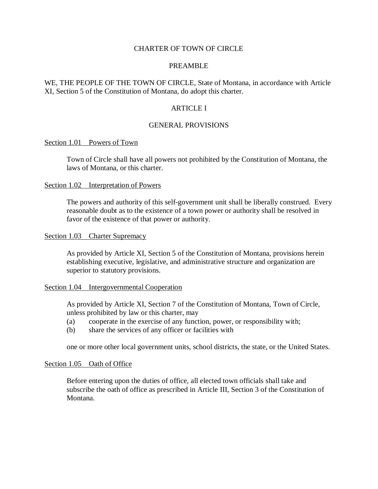### CHARTER OF TOWN OF CIRCLE

#### PREAMBLE

WE, THE PEOPLE OF THE TOWN OF CIRCLE, State of Montana, in accordance with Article XI, Section 5 of the Constitution of Montana, do adopt this charter.

### ARTICLE I

### GENERAL PROVISIONS

### Section 1.01 Powers of Town

Town of Circle shall have all powers not prohibited by the Constitution of Montana, the laws of Montana, or this charter.

#### Section 1.02 Interpretation of Powers

The powers and authority of this self-government unit shall be liberally construed. Every reasonable doubt as to the existence of a town power or authority shall be resolved in favor of the existence of that power or authority.

### Section 1.03 Charter Supremacy

As provided by Article XI, Section 5 of the Constitution of Montana, provisions herein establishing executive, legislative, and administrative structure and organization are superior to statutory provisions.

#### Section 1.04 Intergovernmental Cooperation

As provided by Article XI, Section 7 of the Constitution of Montana, Town of Circle, unless prohibited by law or this charter, may

- (a) cooperate in the exercise of any function, power, or responsibility with;
- (b) share the services of any officer or facilities with

one or more other local government units, school districts, the state, or the United States.

#### Section 1.05 Oath of Office

Before entering upon the duties of office, all elected town officials shall take and subscribe the oath of office as prescribed in Article III, Section 3 of the Constitution of Montana.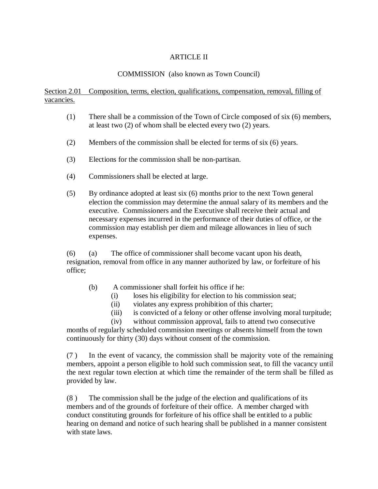# ARTICLE II

## COMMISSION (also known as Town Council)

# Section 2.01 Composition, terms, election, qualifications, compensation, removal, filling of vacancies.

- (1) There shall be a commission of the Town of Circle composed of six (6) members, at least two (2) of whom shall be elected every two (2) years.
- (2) Members of the commission shall be elected for terms of six (6) years.
- (3) Elections for the commission shall be non-partisan.
- (4) Commissioners shall be elected at large.
- (5) By ordinance adopted at least six (6) months prior to the next Town general election the commission may determine the annual salary of its members and the executive. Commissioners and the Executive shall receive their actual and necessary expenses incurred in the performance of their duties of office, or the commission may establish per diem and mileage allowances in lieu of such expenses.

(6) (a) The office of commissioner shall become vacant upon his death, resignation, removal from office in any manner authorized by law, or forfeiture of his office;

- (b) A commissioner shall forfeit his office if he:
	- (i) loses his eligibility for election to his commission seat;
	- (ii) violates any express prohibition of this charter;
	- (iii) is convicted of a felony or other offense involving moral turpitude;
	- (iv) without commission approval, fails to attend two consecutive

months of regularly scheduled commission meetings or absents himself from the town continuously for thirty (30) days without consent of the commission.

(7 ) In the event of vacancy, the commission shall be majority vote of the remaining members, appoint a person eligible to hold such commission seat, to fill the vacancy until the next regular town election at which time the remainder of the term shall be filled as provided by law.

(8 ) The commission shall be the judge of the election and qualifications of its members and of the grounds of forfeiture of their office. A member charged with conduct constituting grounds for forfeiture of his office shall be entitled to a public hearing on demand and notice of such hearing shall be published in a manner consistent with state laws.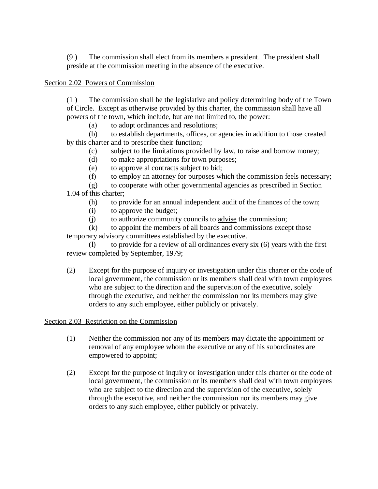(9 ) The commission shall elect from its members a president. The president shall preside at the commission meeting in the absence of the executive.

# Section 2.02 Powers of Commission

(1 ) The commission shall be the legislative and policy determining body of the Town of Circle. Except as otherwise provided by this charter, the commission shall have all powers of the town, which include, but are not limited to, the power:

(a) to adopt ordinances and resolutions;

(b) to establish departments, offices, or agencies in addition to those created by this charter and to prescribe their function;

(c) subject to the limitations provided by law, to raise and borrow money;

- (d) to make appropriations for town purposes;
- (e) to approve al contracts subject to bid;
- (f) to employ an attorney for purposes which the commission feels necessary;

(g) to cooperate with other governmental agencies as prescribed in Section 1.04 of this charter;

- (h) to provide for an annual independent audit of the finances of the town;
- (i) to approve the budget;
- (j) to authorize community councils to advise the commission;

(k) to appoint the members of all boards and commissions except those temporary advisory committees established by the executive.

(l) to provide for a review of all ordinances every six (6) years with the first review completed by September, 1979;

(2) Except for the purpose of inquiry or investigation under this charter or the code of local government, the commission or its members shall deal with town employees who are subject to the direction and the supervision of the executive, solely through the executive, and neither the commission nor its members may give orders to any such employee, either publicly or privately.

## Section 2.03 Restriction on the Commission

- (1) Neither the commission nor any of its members may dictate the appointment or removal of any employee whom the executive or any of his subordinates are empowered to appoint;
- (2) Except for the purpose of inquiry or investigation under this charter or the code of local government, the commission or its members shall deal with town employees who are subject to the direction and the supervision of the executive, solely through the executive, and neither the commission nor its members may give orders to any such employee, either publicly or privately.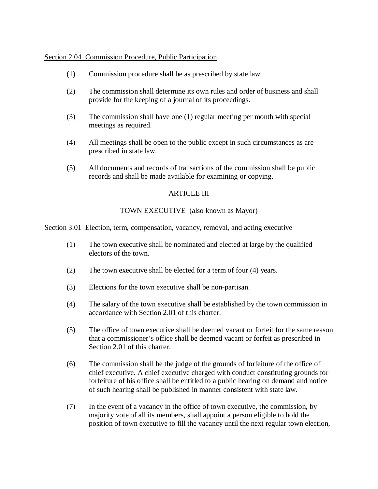Section 2.04 Commission Procedure, Public Participation

- (1) Commission procedure shall be as prescribed by state law.
- (2) The commission shall determine its own rules and order of business and shall provide for the keeping of a journal of its proceedings.
- (3) The commission shall have one (1) regular meeting per month with special meetings as required.
- (4) All meetings shall be open to the public except in such circumstances as are prescribed in state law.
- (5) All documents and records of transactions of the commission shall be public records and shall be made available for examining or copying.

# ARTICLE III

# TOWN EXECUTIVE (also known as Mayor)

## Section 3.01 Election, term, compensation, vacancy, removal, and acting executive

- (1) The town executive shall be nominated and elected at large by the qualified electors of the town.
- (2) The town executive shall be elected for a term of four (4) years.
- (3) Elections for the town executive shall be non-partisan.
- (4) The salary of the town executive shall be established by the town commission in accordance with Section 2.01 of this charter.
- (5) The office of town executive shall be deemed vacant or forfeit for the same reason that a commissioner's office shall be deemed vacant or forfeit as prescribed in Section 2.01 of this charter.
- (6) The commission shall be the judge of the grounds of forfeiture of the office of chief executive. A chief executive charged with conduct constituting grounds for forfeiture of his office shall be entitled to a public hearing on demand and notice of such hearing shall be published in manner consistent with state law.
- (7) In the event of a vacancy in the office of town executive, the commission, by majority vote of all its members, shall appoint a person eligible to hold the position of town executive to fill the vacancy until the next regular town election,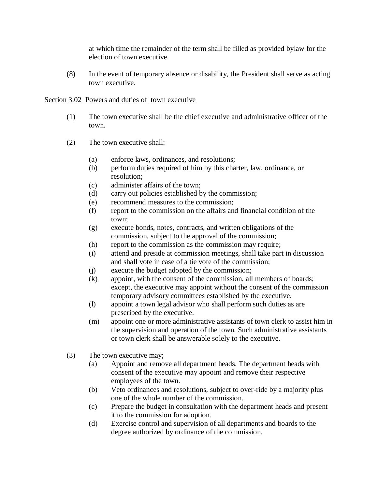at which time the remainder of the term shall be filled as provided bylaw for the election of town executive.

(8) In the event of temporary absence or disability, the President shall serve as acting town executive.

# Section 3.02 Powers and duties of town executive

- (1) The town executive shall be the chief executive and administrative officer of the town.
- (2) The town executive shall:
	- (a) enforce laws, ordinances, and resolutions;
	- (b) perform duties required of him by this charter, law, ordinance, or resolution;
	- (c) administer affairs of the town;
	- (d) carry out policies established by the commission;
	- (e) recommend measures to the commission;
	- (f) report to the commission on the affairs and financial condition of the town;
	- (g) execute bonds, notes, contracts, and written obligations of the commission, subject to the approval of the commission;
	- (h) report to the commission as the commission may require;
	- (i) attend and preside at commission meetings, shall take part in discussion and shall vote in case of a tie vote of the commission;
	- (j) execute the budget adopted by the commission;
	- (k) appoint, with the consent of the commission, all members of boards; except, the executive may appoint without the consent of the commission temporary advisory committees established by the executive.
	- (l) appoint a town legal advisor who shall perform such duties as are prescribed by the executive.
	- (m) appoint one or more administrative assistants of town clerk to assist him in the supervision and operation of the town. Such administrative assistants or town clerk shall be answerable solely to the executive.
- (3) The town executive may;
	- (a) Appoint and remove all department heads. The department heads with consent of the executive may appoint and remove their respective employees of the town.
	- (b) Veto ordinances and resolutions, subject to over-ride by a majority plus one of the whole number of the commission.
	- (c) Prepare the budget in consultation with the department heads and present it to the commission for adoption.
	- (d) Exercise control and supervision of all departments and boards to the degree authorized by ordinance of the commission.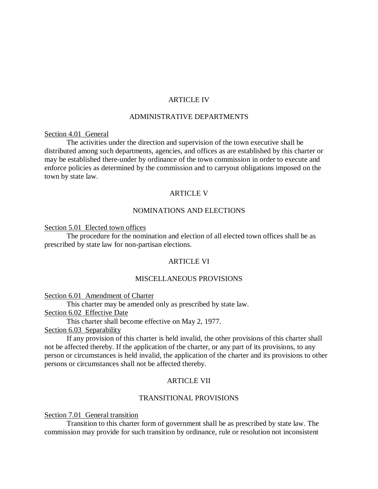### ARTICLE IV

### ADMINISTRATIVE DEPARTMENTS

### Section 4.01 General

The activities under the direction and supervision of the town executive shall be distributed among such departments, agencies, and offices as are established by this charter or may be established there-under by ordinance of the town commission in order to execute and enforce policies as determined by the commission and to carryout obligations imposed on the town by state law.

## ARTICLE V

## NOMINATIONS AND ELECTIONS

### Section 5.01 Elected town offices

The procedure for the nomination and election of all elected town offices shall be as prescribed by state law for non-partisan elections.

## ARTICLE VI

### MISCELLANEOUS PROVISIONS

Section 6.01 Amendment of Charter

This charter may be amended only as prescribed by state law.

Section 6.02 Effective Date

This charter shall become effective on May 2, 1977.

Section 6.03 Separability

If any provision of this charter is held invalid, the other provisions of this charter shall not be affected thereby. If the application of the charter, or any part of its provisions, to any person or circumstances is held invalid, the application of the charter and its provisions to other persons or circumstances shall not be affected thereby.

## ARTICLE VII

#### TRANSITIONAL PROVISIONS

#### Section 7.01 General transition

Transition to this charter form of government shall be as prescribed by state law. The commission may provide for such transition by ordinance, rule or resolution not inconsistent